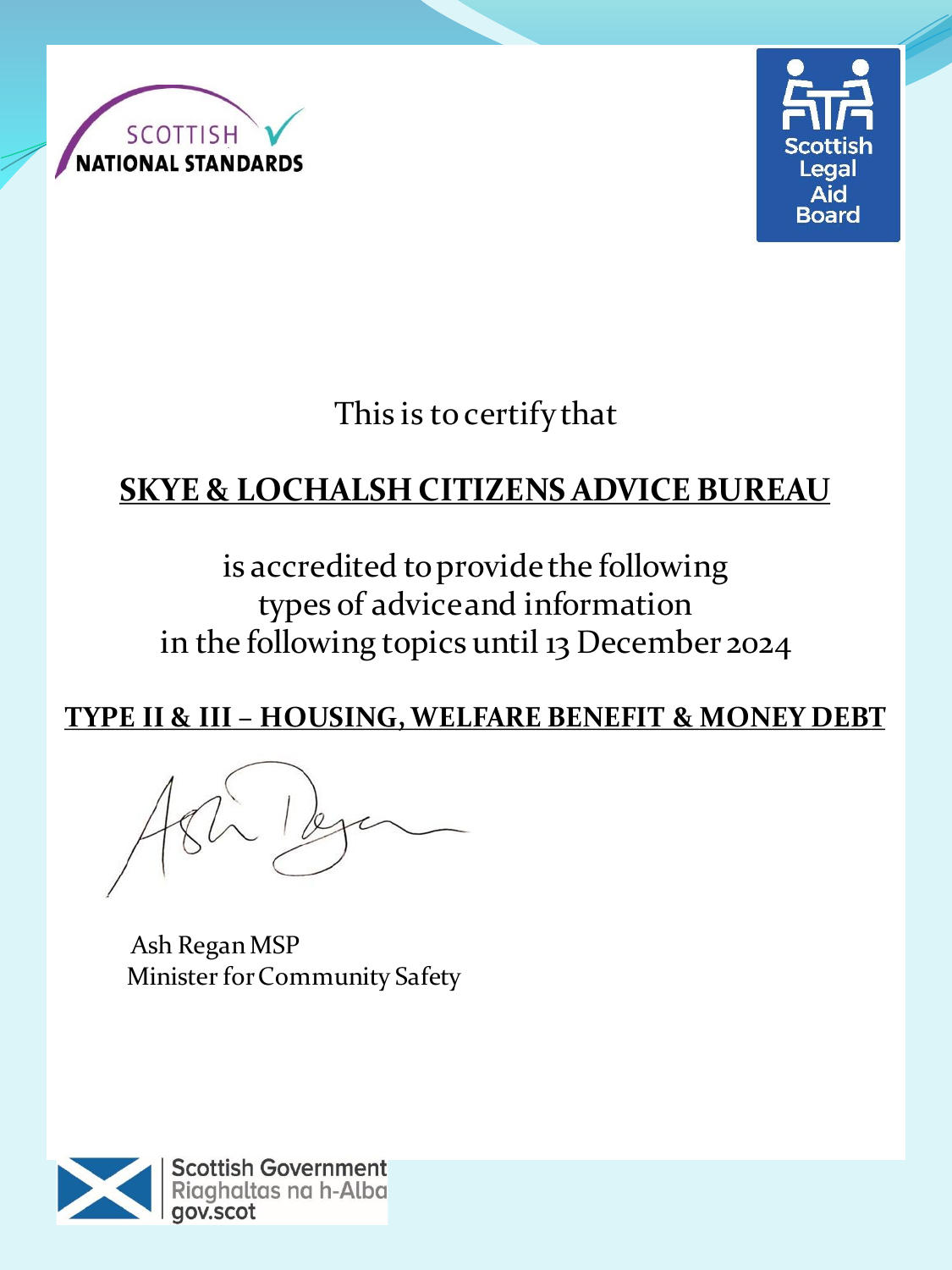



This is to certify that

# **SKYE & LOCHALSH CITIZENS ADVICE BUREAU**

is accredited to provide the following types of advice and information in the following topics until 13 December 2024

**TYPE II & III – HOUSING, WELFARE BENEFIT & MONEY DEBT**

Ash Regan MSP Minister for Community Safety

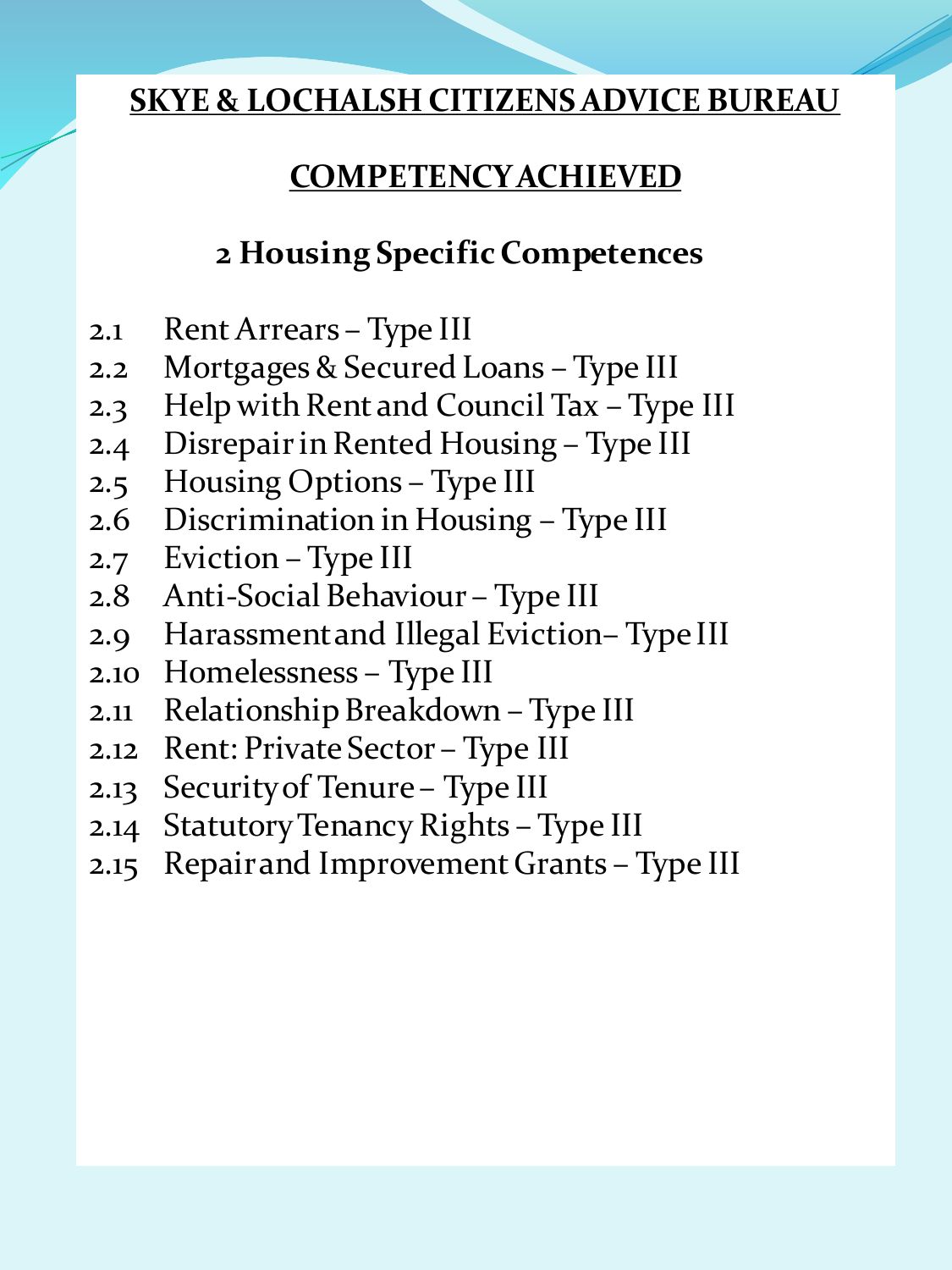# **COMPETENCY ACHIEVED**

# **2 Housing Specific Competences**

- 2.1 Rent Arrears Type III
- 2.2 Mortgages & Secured Loans Type III
- 2.3 Help with Rent and Council Tax Type III
- 2.4 Disrepair in Rented Housing Type III
- 2.5 Housing Options Type III
- 2.6 Discrimination in Housing Type III
- 2.7 Eviction Type III
- 2.8 Anti-Social Behaviour Type III
- 2.9 Harassment and Illegal Eviction– Type III
- 2.10 Homelessness Type III
- 2.11 Relationship Breakdown Type III
- 2.12 Rent: Private Sector Type III
- 2.13 Security of Tenure Type III
- 2.14 Statutory Tenancy Rights Type III
- 2.15 Repair and Improvement Grants Type III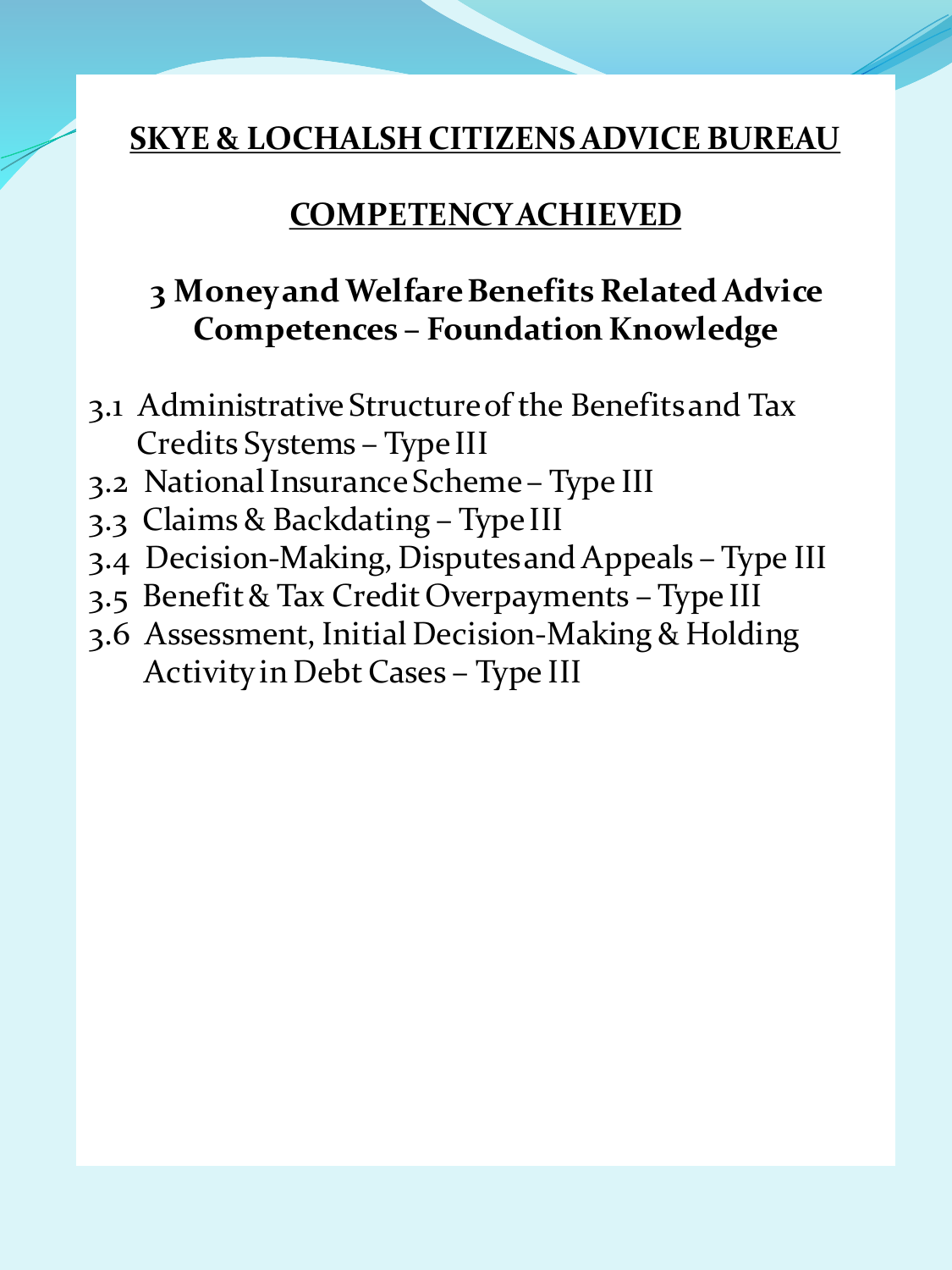#### **COMPETENCY ACHIEVED**

## **3 Money and Welfare Benefits Related Advice Competences – Foundation Knowledge**

- 3.1 Administrative Structure of the Benefits and Tax Credits Systems – Type III
- 3.2 National Insurance Scheme Type III
- 3.3 Claims & Backdating Type III
- 3.4 Decision-Making, Disputes and Appeals Type III
- 3.5 Benefit & Tax Credit Overpayments Type III
- 3.6 Assessment, Initial Decision-Making & Holding Activity in Debt Cases – Type III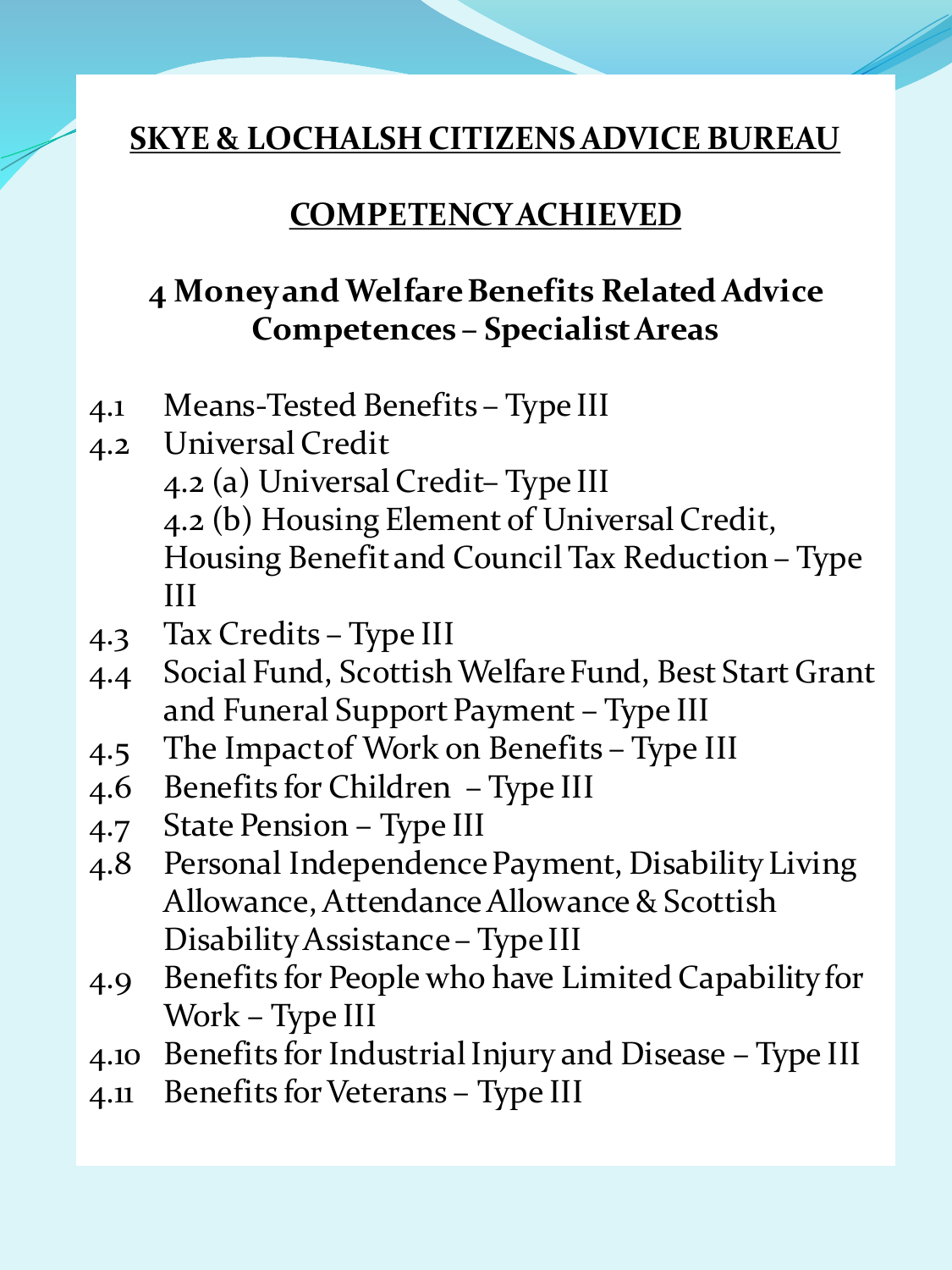#### **COMPETENCY ACHIEVED**

## **4 Money and Welfare Benefits Related Advice Competences – Specialist Areas**

- 4.1 Means-Tested Benefits Type III
- 4.2 Universal Credit 4.2 (a) Universal Credit– Type III 4.2 (b) Housing Element of Universal Credit, Housing Benefit and Council Tax Reduction – Type III
- 4.3 Tax Credits Type III
- 4.4 Social Fund, Scottish Welfare Fund, Best Start Grant and Funeral Support Payment – Type III
- 4.5 The Impact of Work on Benefits Type III
- 4.6 Benefits for Children Type III
- 4.7 State Pension Type III
- 4.8 Personal Independence Payment, Disability Living Allowance, Attendance Allowance & Scottish Disability Assistance – Type III
- 4.9 Benefits for People who have Limited Capability for Work – Type III
- 4.10 Benefits for Industrial Injury and Disease Type III
- 4.11 Benefits for Veterans Type III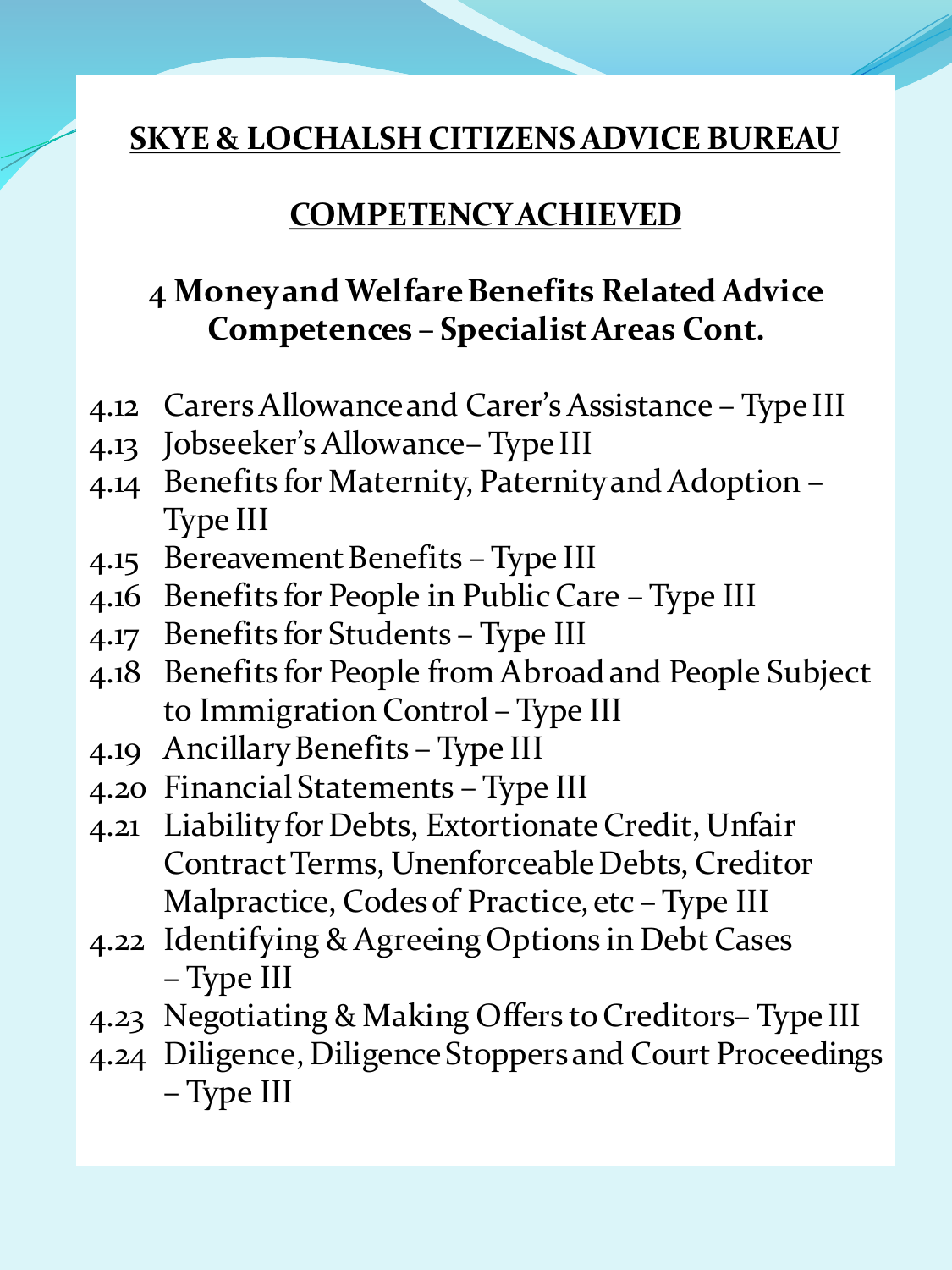#### **COMPETENCY ACHIEVED**

# **4 Money and Welfare Benefits Related Advice Competences – Specialist Areas Cont.**

- 4.12 Carers Allowance and Carer's Assistance Type III
- 4.13 Jobseeker's Allowance– Type III
- 4.14 Benefits for Maternity, Paternity and Adoption Type III
- 4.15 Bereavement Benefits Type III
- 4.16 Benefits for People in Public Care Type III
- 4.17 Benefits for Students Type III
- 4.18 Benefits for People from Abroad and People Subject to Immigration Control – Type III
- 4.19 Ancillary Benefits Type III
- 4.20 Financial Statements Type III
- 4.21 Liability for Debts, Extortionate Credit, Unfair Contract Terms, Unenforceable Debts, Creditor Malpractice, Codes of Practice, etc – Type III
- 4.22 Identifying & Agreeing Options in Debt Cases – Type III
- 4.23 Negotiating & Making Offers to Creditors– Type III
- 4.24 Diligence, Diligence Stoppers and Court Proceedings – Type III